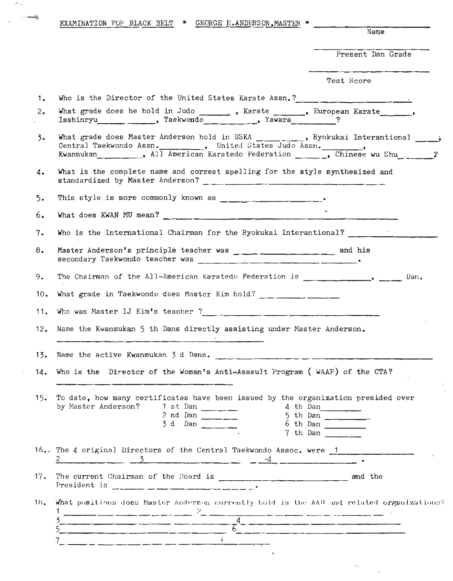|     | <b>EXAMINATION FOF BLACK BELT * GEORGE E.ANDERSON, MASTER *</b><br>Name                                                                                                                                                                                                                                             |
|-----|---------------------------------------------------------------------------------------------------------------------------------------------------------------------------------------------------------------------------------------------------------------------------------------------------------------------|
|     |                                                                                                                                                                                                                                                                                                                     |
|     | Present Dan Grade                                                                                                                                                                                                                                                                                                   |
|     | Test Score                                                                                                                                                                                                                                                                                                          |
| 1.  | Who is the Director of the United States Karate Assn.?                                                                                                                                                                                                                                                              |
| 2.  | What grade does he hold in Judo ________, Karate ______, European Karate______,<br>Isshinryu Paekwondo Yawara ?                                                                                                                                                                                                     |
| 3.  | What grade does Master Anderson hold in USKA _______, Ryokukai Interantional ___<br>Central Taekwondo Assn.<br>Kwanmukan (All American Karatedo Federation (Chinese wu Shu 2)                                                                                                                                       |
| 4.  | What is the complete name and correst spelling for the style synthesized and                                                                                                                                                                                                                                        |
| 5.  |                                                                                                                                                                                                                                                                                                                     |
| 6.  | What does KWAN MU mean? $\frac{1}{2}$ $\frac{1}{2}$ $\frac{1}{2}$ $\frac{1}{2}$ $\frac{1}{2}$ $\frac{1}{2}$ $\frac{1}{2}$ $\frac{1}{2}$ $\frac{1}{2}$ $\frac{1}{2}$ $\frac{1}{2}$ $\frac{1}{2}$ $\frac{1}{2}$ $\frac{1}{2}$ $\frac{1}{2}$ $\frac{1}{2}$ $\frac{1}{2}$ $\frac{1}{2}$ $\frac{1}{2}$ $\frac{1}{2$      |
| 7.  | Who is the International Chairman for the Ryokukai Interantional?                                                                                                                                                                                                                                                   |
| 8.  |                                                                                                                                                                                                                                                                                                                     |
| 9.  | Dan.                                                                                                                                                                                                                                                                                                                |
| 10. | What grade in Taekwondo does Master Kim hold? ___ ________________                                                                                                                                                                                                                                                  |
| 11. |                                                                                                                                                                                                                                                                                                                     |
| 12. | Name the Kwanmukan 5 th Dans directly assisting under Master Anderson.                                                                                                                                                                                                                                              |
| 13. | Name the active Kwanmukan $3$ d Dans.                                                                                                                                                                                                                                                                               |
| 14. | Who is the Director of the Woman's Anti-Assault Program (WAAP) of the CTA?                                                                                                                                                                                                                                          |
| 15. | To date, how many certificates have been issued by the organization presided over<br>by Master Anderson? 1 st Dan<br>4 th Dan<br>5 th Dan<br>6 th Dan<br>2 nd Dan<br>$3 d$ Dan $\frac{1}{2}$<br>7 th Dan                                                                                                            |
|     | 16 The 4 original Directors of the Central Taekwondo Assoc. were 1<br>$\frac{3}{2}$ $\frac{3}{2}$ $\frac{4}{2}$                                                                                                                                                                                                     |
| 17. | President is $\frac{1}{2}$ $\frac{1}{2}$ $\frac{1}{2}$ $\frac{1}{2}$ $\frac{1}{2}$ $\frac{1}{2}$ $\frac{1}{2}$ $\frac{1}{2}$ $\frac{1}{2}$ $\frac{1}{2}$ $\frac{1}{2}$ $\frac{1}{2}$ $\frac{1}{2}$ $\frac{1}{2}$ $\frac{1}{2}$ $\frac{1}{2}$ $\frac{1}{2}$ $\frac{1}{2}$ $\frac{1}{2}$ $\frac{1}{2}$ $\frac{1}{2}$  |
| 18. | What positions does Maater Anderson currently hold is the AAU and related organizations?                                                                                                                                                                                                                            |
|     | $\frac{3}{5}$ $\frac{4}{5}$ $\frac{4}{5}$ $\frac{4}{5}$ $\frac{4}{5}$ $\frac{4}{5}$ $\frac{4}{5}$ $\frac{4}{5}$ $\frac{4}{5}$ $\frac{4}{5}$ $\frac{4}{5}$ $\frac{4}{5}$ $\frac{4}{5}$ $\frac{4}{5}$ $\frac{4}{5}$ $\frac{4}{5}$ $\frac{4}{5}$ $\frac{4}{5}$ $\frac{4}{5}$ $\frac{4}{5}$ $\frac{4}{5}$ $\frac{4}{5}$ |
|     |                                                                                                                                                                                                                                                                                                                     |

 $\label{eq:2.1} \frac{1}{\sqrt{2}}\sum_{i=1}^n\frac{1}{\sqrt{2}}\sum_{i=1}^n\frac{1}{\sqrt{2}}\sum_{i=1}^n\frac{1}{\sqrt{2}}\sum_{i=1}^n\frac{1}{\sqrt{2}}\sum_{i=1}^n\frac{1}{\sqrt{2}}\sum_{i=1}^n\frac{1}{\sqrt{2}}\sum_{i=1}^n\frac{1}{\sqrt{2}}\sum_{i=1}^n\frac{1}{\sqrt{2}}\sum_{i=1}^n\frac{1}{\sqrt{2}}\sum_{i=1}^n\frac{1}{\sqrt{2}}\sum_{i=1}^n\frac$ 

 $\mathcal{F}(\mathcal{A})$  .

 $\bar{I}$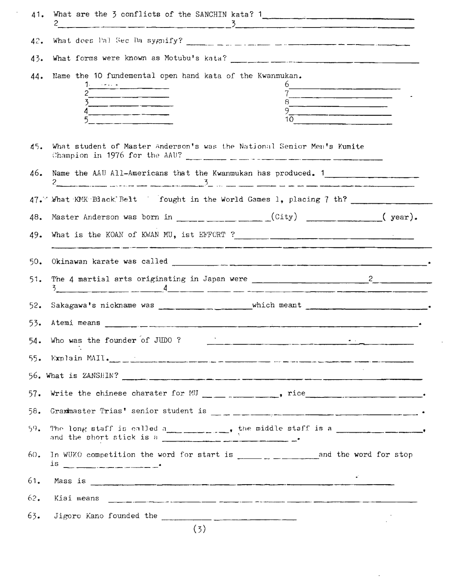| 41. | What are the $\frac{1}{2}$ conflicts of the SANCHIN kata? 1<br>2 and $\frac{3}{2}$                                                                                                                                                                                                                                                                                                                                                                                                                                                                                                                                                                                                                                                                                                                                                                                                                                                      |
|-----|-----------------------------------------------------------------------------------------------------------------------------------------------------------------------------------------------------------------------------------------------------------------------------------------------------------------------------------------------------------------------------------------------------------------------------------------------------------------------------------------------------------------------------------------------------------------------------------------------------------------------------------------------------------------------------------------------------------------------------------------------------------------------------------------------------------------------------------------------------------------------------------------------------------------------------------------|
| 42. | What does Pal Sec Da sygnify? $\frac{1}{2}$ $\frac{1}{2}$ $\frac{1}{2}$ $\frac{1}{2}$ $\frac{1}{2}$ $\frac{1}{2}$ $\frac{1}{2}$ $\frac{1}{2}$ $\frac{1}{2}$ $\frac{1}{2}$ $\frac{1}{2}$ $\frac{1}{2}$ $\frac{1}{2}$ $\frac{1}{2}$ $\frac{1}{2}$ $\frac{1}{2}$ $\frac{1}{2}$ $\frac{1}{2}$ $\frac{1}{2}$                                                                                                                                                                                                                                                                                                                                                                                                                                                                                                                                                                                                                                 |
| 43. |                                                                                                                                                                                                                                                                                                                                                                                                                                                                                                                                                                                                                                                                                                                                                                                                                                                                                                                                         |
| 44. | Name the 10 fundemental open hand kata of the Kwanmukan.<br>$1.$ $\frac{1}{2}$ $\frac{1}{2}$ $\frac{1}{2}$ $\frac{1}{2}$ $\frac{1}{2}$ $\frac{1}{2}$ $\frac{1}{2}$ $\frac{1}{2}$ $\frac{1}{2}$ $\frac{1}{2}$ $\frac{1}{2}$ $\frac{1}{2}$ $\frac{1}{2}$ $\frac{1}{2}$ $\frac{1}{2}$ $\frac{1}{2}$ $\frac{1}{2}$ $\frac{1}{2}$ $\frac{1}{2}$ $\frac{1}{2}$ $\frac{1}{2}$ $\frac{1}{$<br>$9^{\circ}$ and $9^{\circ}$ and $9^{\circ}$ and $9^{\circ}$ and $9^{\circ}$ and $9^{\circ}$ and $9^{\circ}$ and $9^{\circ}$ and $9^{\circ}$ and $9^{\circ}$ and $9^{\circ}$ and $9^{\circ}$ and $9^{\circ}$ and $9^{\circ}$ and $9^{\circ}$ and $9^{\circ}$ and $9^{\circ}$ and $9^{\circ}$ and $9^{\circ$<br>$4$ and $4$ and $4$ and $4$ and $4$ and $4$ and $4$ and $4$ and $4$ and $4$ and $4$ and $4$ and $4$ and $4$ and $4$ and $4$ and $4$ and $4$ and $4$ and $4$ and $4$ and $4$ and $4$ and $4$ and $4$ and $4$ and $4$ and $4$ a<br>10 |
| 45. | What student of Master Anderson's was the National Senior Men's Kumite<br>Champion in 1976 for the AAU? $\frac{1}{2}$ $\frac{1}{2}$ $\frac{1}{2}$ $\frac{1}{2}$ $\frac{1}{2}$ $\frac{1}{2}$ $\frac{1}{2}$ $\frac{1}{2}$ $\frac{1}{2}$ $\frac{1}{2}$ $\frac{1}{2}$ $\frac{1}{2}$ $\frac{1}{2}$ $\frac{1}{2}$ $\frac{1}{2}$ $\frac{1}{2}$ $\frac{1}{2}$ $\frac{1}{2}$ $\frac{1}{2}$                                                                                                                                                                                                                                                                                                                                                                                                                                                                                                                                                       |
| 46. | Name the AAU All-Americans that the Kwanmukan has produced. 1                                                                                                                                                                                                                                                                                                                                                                                                                                                                                                                                                                                                                                                                                                                                                                                                                                                                           |
|     | 47. What KMK Black Belt fought in the World Games 1, placing 7 th?                                                                                                                                                                                                                                                                                                                                                                                                                                                                                                                                                                                                                                                                                                                                                                                                                                                                      |
| 48. | Master Anderson was born in $\qquad \qquad \qquad \qquad \text{(City)} \qquad \qquad \text{(year)}$                                                                                                                                                                                                                                                                                                                                                                                                                                                                                                                                                                                                                                                                                                                                                                                                                                     |
| 49. |                                                                                                                                                                                                                                                                                                                                                                                                                                                                                                                                                                                                                                                                                                                                                                                                                                                                                                                                         |
| 50. |                                                                                                                                                                                                                                                                                                                                                                                                                                                                                                                                                                                                                                                                                                                                                                                                                                                                                                                                         |
| 51. | The 4 martial arts originating in Japan were $\frac{1}{\sqrt{1-\frac{1}{2}}}\sqrt{2-\frac{1}{2}}$<br>$3$ and $4$ and $4$ and $4$ and $4$ and $4$ and $4$ and $4$ and $4$ and $4$ and $4$ and $4$ and $4$ and $4$ and $4$ and $4$ and $4$ and $4$ and $4$ and $4$ and $4$ and $4$ and $4$ and $4$ and $4$ and $4$ and $4$ and $4$ a                                                                                                                                                                                                                                                                                                                                                                                                                                                                                                                                                                                                      |
| 52. |                                                                                                                                                                                                                                                                                                                                                                                                                                                                                                                                                                                                                                                                                                                                                                                                                                                                                                                                         |
|     |                                                                                                                                                                                                                                                                                                                                                                                                                                                                                                                                                                                                                                                                                                                                                                                                                                                                                                                                         |
| 53. |                                                                                                                                                                                                                                                                                                                                                                                                                                                                                                                                                                                                                                                                                                                                                                                                                                                                                                                                         |
| 54. | Who was the founder of JUDO ?<br>$\sim$                                                                                                                                                                                                                                                                                                                                                                                                                                                                                                                                                                                                                                                                                                                                                                                                                                                                                                 |
| 55. |                                                                                                                                                                                                                                                                                                                                                                                                                                                                                                                                                                                                                                                                                                                                                                                                                                                                                                                                         |
|     |                                                                                                                                                                                                                                                                                                                                                                                                                                                                                                                                                                                                                                                                                                                                                                                                                                                                                                                                         |
| 57. | Write the chinese charater for MU __ _ _ _ _ _ _ _ rice _________________________.                                                                                                                                                                                                                                                                                                                                                                                                                                                                                                                                                                                                                                                                                                                                                                                                                                                      |
| 58. |                                                                                                                                                                                                                                                                                                                                                                                                                                                                                                                                                                                                                                                                                                                                                                                                                                                                                                                                         |
| 59. | The long staff is called a<br>and the short stick is a                                                                                                                                                                                                                                                                                                                                                                                                                                                                                                                                                                                                                                                                                                                                                                                                                                                                                  |
| 60. | In WUKO competition the word for start is $\frac{1}{2}$ = $\frac{1}{2}$ and the word for stop                                                                                                                                                                                                                                                                                                                                                                                                                                                                                                                                                                                                                                                                                                                                                                                                                                           |
| 61. | Mass is $\sim$                                                                                                                                                                                                                                                                                                                                                                                                                                                                                                                                                                                                                                                                                                                                                                                                                                                                                                                          |
| 62. | Kiai means                                                                                                                                                                                                                                                                                                                                                                                                                                                                                                                                                                                                                                                                                                                                                                                                                                                                                                                              |
| 63. |                                                                                                                                                                                                                                                                                                                                                                                                                                                                                                                                                                                                                                                                                                                                                                                                                                                                                                                                         |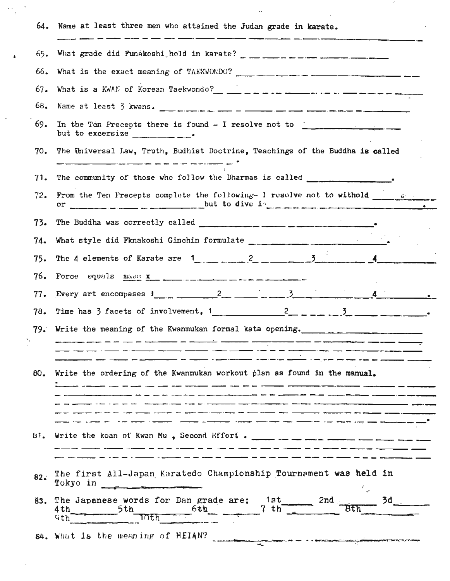| 64. | Name at least three men who attained the Judan grade in karate.                                                                                                                                                                                                                                                                                                                                                                                                                                                                                                                                                                                                                                                                                                                          |  |  |  |  |  |  |  |  |  |
|-----|------------------------------------------------------------------------------------------------------------------------------------------------------------------------------------------------------------------------------------------------------------------------------------------------------------------------------------------------------------------------------------------------------------------------------------------------------------------------------------------------------------------------------------------------------------------------------------------------------------------------------------------------------------------------------------------------------------------------------------------------------------------------------------------|--|--|--|--|--|--|--|--|--|
| 65. |                                                                                                                                                                                                                                                                                                                                                                                                                                                                                                                                                                                                                                                                                                                                                                                          |  |  |  |  |  |  |  |  |  |
| 66. |                                                                                                                                                                                                                                                                                                                                                                                                                                                                                                                                                                                                                                                                                                                                                                                          |  |  |  |  |  |  |  |  |  |
| 67. | What is a KWAN of Korean Taekwondo?<br>$\frac{1}{2}$ $\frac{1}{2}$ $\frac{1}{2}$ $\frac{1}{2}$ $\frac{1}{2}$ $\frac{1}{2}$ $\frac{1}{2}$ $\frac{1}{2}$ $\frac{1}{2}$ $\frac{1}{2}$ $\frac{1}{2}$ $\frac{1}{2}$ $\frac{1}{2}$ $\frac{1}{2}$ $\frac{1}{2}$ $\frac{1}{2}$ $\frac{1}{2}$ $\frac{1}{2}$ $\frac{$                                                                                                                                                                                                                                                                                                                                                                                                                                                                              |  |  |  |  |  |  |  |  |  |
| 68. |                                                                                                                                                                                                                                                                                                                                                                                                                                                                                                                                                                                                                                                                                                                                                                                          |  |  |  |  |  |  |  |  |  |
| 69. | In the Ten Precepts there is found $-$ I resolve not to $\frac{1}{\sqrt{1-\frac{1}{2}}}\frac{1}{\sqrt{1-\frac{1}{2}}}\frac{1}{\sqrt{1-\frac{1}{2}}}\frac{1}{\sqrt{1-\frac{1}{2}}}\frac{1}{\sqrt{1-\frac{1}{2}}}\frac{1}{\sqrt{1-\frac{1}{2}}}\frac{1}{\sqrt{1-\frac{1}{2}}}\frac{1}{\sqrt{1-\frac{1}{2}}}\frac{1}{\sqrt{1-\frac{1}{2}}}\frac{1}{\sqrt{1-\frac{1}{2}}}\frac{1$<br>but to excersize $\frac{1}{1-\frac{1}{1-\frac{1}{1-\frac{1}{1-\frac{1}{1-\frac{1}{1-\frac{1}{1-\frac{1}{1-\frac{1}{1-\frac{1}{1-\frac{1}{1-\frac{1}{1-\frac{1}{1-\frac{1}{1-\frac{1}{1-\frac{1}{1-\frac{1}{1-\frac{1}{1-\frac{1}{1-\frac{1}{1-\frac{1}{1-\frac{1}{1-\frac{1}{1-\frac{1}{1-\frac{1}{1-\frac{1}{1-\frac{1}{1-\frac{1}{1-\frac{1}{1-\frac{1}{1-\frac{1}{1-\frac{1}{1-\frac{1}{1-\frac{1}{$ |  |  |  |  |  |  |  |  |  |
| 70. | The Universal Law, Truth, Budhist Doctrine, Teachings of the Buddha is called                                                                                                                                                                                                                                                                                                                                                                                                                                                                                                                                                                                                                                                                                                            |  |  |  |  |  |  |  |  |  |
| 71. | The community of those who follow the Dharmas is called ________________________                                                                                                                                                                                                                                                                                                                                                                                                                                                                                                                                                                                                                                                                                                         |  |  |  |  |  |  |  |  |  |
| 72. | From the Ten Precepts complete the following- 1 resolve not to withold $\frac{1}{\sqrt{2}}$                                                                                                                                                                                                                                                                                                                                                                                                                                                                                                                                                                                                                                                                                              |  |  |  |  |  |  |  |  |  |
| 73. |                                                                                                                                                                                                                                                                                                                                                                                                                                                                                                                                                                                                                                                                                                                                                                                          |  |  |  |  |  |  |  |  |  |
| 74. |                                                                                                                                                                                                                                                                                                                                                                                                                                                                                                                                                                                                                                                                                                                                                                                          |  |  |  |  |  |  |  |  |  |
| 75. |                                                                                                                                                                                                                                                                                                                                                                                                                                                                                                                                                                                                                                                                                                                                                                                          |  |  |  |  |  |  |  |  |  |
| 76. |                                                                                                                                                                                                                                                                                                                                                                                                                                                                                                                                                                                                                                                                                                                                                                                          |  |  |  |  |  |  |  |  |  |
| 77. | Every art encompases $1 \t 2 \t 3 \t 1 \t 4$                                                                                                                                                                                                                                                                                                                                                                                                                                                                                                                                                                                                                                                                                                                                             |  |  |  |  |  |  |  |  |  |
| 78. | Time has 3 facets of involvement, $1 \t 2 \t - \t 3 \t 3 \t 1$                                                                                                                                                                                                                                                                                                                                                                                                                                                                                                                                                                                                                                                                                                                           |  |  |  |  |  |  |  |  |  |
|     | 79. Write the meaning of the Kwanmukan formal kata opening.                                                                                                                                                                                                                                                                                                                                                                                                                                                                                                                                                                                                                                                                                                                              |  |  |  |  |  |  |  |  |  |
|     | _ _ _ _ _ _ _ _ _ _ _ _ _ _ _ _ _ _ _                                                                                                                                                                                                                                                                                                                                                                                                                                                                                                                                                                                                                                                                                                                                                    |  |  |  |  |  |  |  |  |  |
| 80. | Write the ordering of the Kwanmukan workout plan as found in the manual.                                                                                                                                                                                                                                                                                                                                                                                                                                                                                                                                                                                                                                                                                                                 |  |  |  |  |  |  |  |  |  |
|     |                                                                                                                                                                                                                                                                                                                                                                                                                                                                                                                                                                                                                                                                                                                                                                                          |  |  |  |  |  |  |  |  |  |
| 81. | Write the koan of Kwan Mu, Second Effort. $\frac{1}{2}$ = $\frac{1}{2}$ = $\frac{1}{2}$ = $\frac{1}{2}$ = $\frac{1}{2}$ = $\frac{1}{2}$ = $\frac{1}{2}$                                                                                                                                                                                                                                                                                                                                                                                                                                                                                                                                                                                                                                  |  |  |  |  |  |  |  |  |  |
| 82. | The first All-Japan Karatedo Championship Tournament was held in                                                                                                                                                                                                                                                                                                                                                                                                                                                                                                                                                                                                                                                                                                                         |  |  |  |  |  |  |  |  |  |
| 83. | The Japanese words for Dan grade are; 1st<br>$3d$ $-$<br>$\sqrt{2nd}$<br>$7 \text{ th}^{-1}$<br>6th<br>4th.<br>5th<br>Bth<br>िर्मा<br>Gth                                                                                                                                                                                                                                                                                                                                                                                                                                                                                                                                                                                                                                                |  |  |  |  |  |  |  |  |  |
|     | 84. What is the meaning of HEIAN?                                                                                                                                                                                                                                                                                                                                                                                                                                                                                                                                                                                                                                                                                                                                                        |  |  |  |  |  |  |  |  |  |

 $\label{eq:2.1} \frac{1}{\sqrt{2}}\frac{d\phi}{d\phi} = \frac{1}{2} \frac{1}{\sqrt{2}} \frac{d\phi}{d\phi}$ 

 $\pmb{\acute{\mathbf{s}}}$ 

 $\cdot$ 

 $\mathcal{L}^{\text{max}}_{\text{max}}$ 

 $\label{eq:2.1} \frac{d\mathbf{r}}{dt} = \frac{1}{2} \left( \frac{d\mathbf{r}}{dt} + \frac{d\mathbf{r}}{dt} \right) \mathbf{r} \left( \mathbf{r} \right)$